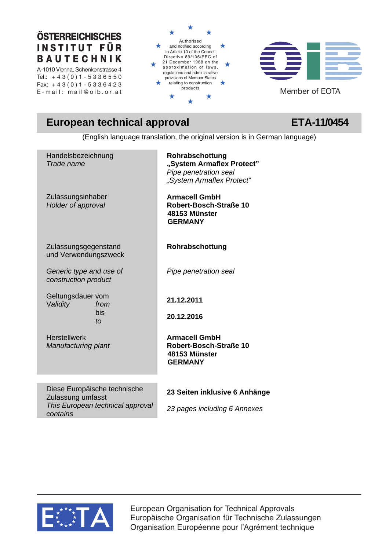# **ÖSTERREICHISCHES I N S T I T U T F Ü R B A U T E C H N I K**

A-1010 Vienna, Schenkenstrasse 4 Tel.:  $+43(0)1 - 53366550$ Fax:  $+43(0)1 - 5336423$ 





# **European technical approval CETA-11/0454**

(English language translation, the original version is in German language)

| Handelsbezeichnung<br>Trade name                  | Rohrabschottung<br>"System Armaflex Protect"<br>Pipe penetration seal<br>"System Armaflex Protect" |
|---------------------------------------------------|----------------------------------------------------------------------------------------------------|
| Zulassungsinhaber<br>Holder of approval           | <b>Armacell GmbH</b><br>Robert-Bosch-Straße 10<br>48153 Münster<br><b>GERMANY</b>                  |
| Zulassungsgegenstand<br>und Verwendungszweck      | Rohrabschottung                                                                                    |
| Generic type and use of<br>construction product   | Pipe penetration seal                                                                              |
| Geltungsdauer vom<br>Validity<br>from             | 21.12.2011                                                                                         |
| bis<br>to                                         | 20.12.2016                                                                                         |
| <b>Herstellwerk</b><br>Manufacturing plant        | <b>Armacell GmbH</b><br>Robert-Bosch-Straße 10<br>48153 Münster<br><b>GERMANY</b>                  |
| Diese Europäische technische<br>Zulassung umfasst | 23 Seiten inklusive 6 Anhänge                                                                      |
| This European technical approval                  | 23 pages including 6 Annexes                                                                       |



*contains* 

European Organisation for Technical Approvals Europäische Organisation für Technische Zulassungen Organisation Européenne pour l'Agrément technique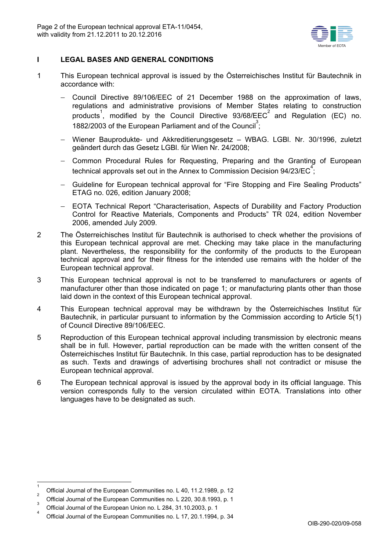

# **I LEGAL BASES AND GENERAL CONDITIONS**

- 1 This European technical approval is issued by the Österreichisches Institut für Bautechnik in accordance with:
	- Council Directive 89/106/EEC of 21 December 1988 on the approximation of laws, regulations and administrative provisions of Member States relating to construction products<sup>1</sup>, modified by the Council Directive 93/68/EEC<sup>2</sup> and Regulation (EC) no. 1882/2003 of the European Parliament and of the Council<sup>3</sup>;
	- Wiener Bauprodukte- und Akkreditierungsgesetz WBAG. LGBI. Nr. 30/1996, zuletzt geändert durch das Gesetz LGBl. für Wien Nr. 24/2008;
	- Common Procedural Rules for Requesting, Preparing and the Granting of European technical approvals set out in the Annex to Commission Decision 94/23/EC<sup>4</sup>;
	- Guideline for European technical approval for "Fire Stopping and Fire Sealing Products" ETAG no. 026, edition January 2008;
	- EOTA Technical Report "Characterisation, Aspects of Durability and Factory Production Control for Reactive Materials, Components and Products" TR 024, edition November 2006, amended July 2009.
- 2 The Österreichisches Institut für Bautechnik is authorised to check whether the provisions of this European technical approval are met. Checking may take place in the manufacturing plant. Nevertheless, the responsibility for the conformity of the products to the European technical approval and for their fitness for the intended use remains with the holder of the European technical approval.
- 3 This European technical approval is not to be transferred to manufacturers or agents of manufacturer other than those indicated on page 1; or manufacturing plants other than those laid down in the context of this European technical approval.
- 4 This European technical approval may be withdrawn by the Österreichisches Institut für Bautechnik, in particular pursuant to information by the Commission according to Article 5(1) of Council Directive 89/106/EEC.
- 5 Reproduction of this European technical approval including transmission by electronic means shall be in full. However, partial reproduction can be made with the written consent of the Österreichisches Institut für Bautechnik. In this case, partial reproduction has to be designated as such. Texts and drawings of advertising brochures shall not contradict or misuse the European technical approval.
- 6 The European technical approval is issued by the approval body in its official language. This version corresponds fully to the version circulated within EOTA. Translations into other languages have to be designated as such.

 $\overline{\phantom{a}}$ 

<sup>1</sup> Official Journal of the European Communities no. L 40, 11.2.1989, p. 12

 $\int_{3}^{\infty}$  Official Journal of the European Communities no. L 220, 30.8.1993, p. 1

 $\int_{4}^{\infty}$  Official Journal of the European Union no. L 284, 31.10.2003, p. 1

Official Journal of the European Communities no. L 17, 20.1.1994, p. 34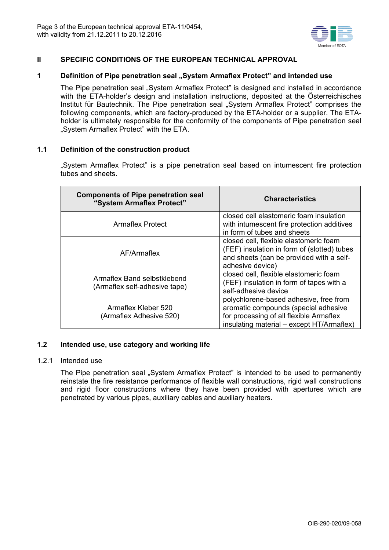

# **II SPECIFIC CONDITIONS OF THE EUROPEAN TECHNICAL APPROVAL**

# **1 Definition of Pipe penetration seal "System Armaflex Protect" and intended use**

The Pipe penetration seal "System Armaflex Protect" is designed and installed in accordance with the ETA-holder's design and installation instructions, deposited at the Österreichisches Institut für Bautechnik. The Pipe penetration seal "System Armaflex Protect" comprises the following components, which are factory-produced by the ETA-holder or a supplier. The ETAholder is ultimately responsible for the conformity of the components of Pipe penetration seal "System Armaflex Protect" with the ETA.

# **1.1 Definition of the construction product**

"System Armaflex Protect" is a pipe penetration seal based on intumescent fire protection tubes and sheets.

| <b>Components of Pipe penetration seal</b><br>"System Armaflex Protect" | <b>Characteristics</b>                                                                                                                                                 |  |  |
|-------------------------------------------------------------------------|------------------------------------------------------------------------------------------------------------------------------------------------------------------------|--|--|
| Armaflex Protect                                                        | closed cell elastomeric foam insulation<br>with intumescent fire protection additives<br>in form of tubes and sheets                                                   |  |  |
| AF/Armaflex                                                             | closed cell, flexible elastomeric foam<br>(FEF) insulation in form of (slotted) tubes<br>and sheets (can be provided with a self-<br>adhesive device)                  |  |  |
| Armaflex Band selbstklebend<br>(Armaflex self-adhesive tape)            | closed cell, flexible elastomeric foam<br>(FEF) insulation in form of tapes with a<br>self-adhesive device                                                             |  |  |
| Armaflex Kleber 520<br>(Armaflex Adhesive 520)                          | polychlorene-based adhesive, free from<br>aromatic compounds (special adhesive<br>for processing of all flexible Armaflex<br>insulating material – except HT/Armaflex) |  |  |

### **1.2 Intended use, use category and working life**

### 1.2.1 Intended use

The Pipe penetration seal "System Armaflex Protect" is intended to be used to permanently reinstate the fire resistance performance of flexible wall constructions, rigid wall constructions and rigid floor constructions where they have been provided with apertures which are penetrated by various pipes, auxiliary cables and auxiliary heaters.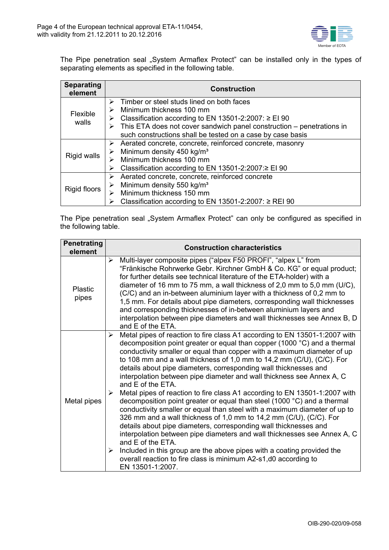

The Pipe penetration seal "System Armaflex Protect" can be installed only in the types of separating elements as specified in the following table.

| <b>Separating</b><br>element | <b>Construction</b>                                                   |
|------------------------------|-----------------------------------------------------------------------|
|                              | Timber or steel studs lined on both faces<br>⋗                        |
| Flexible                     | Minimum thickness 100 mm                                              |
|                              | Classification according to EN 13501-2:2007: $\ge$ EI 90<br>➤         |
| walls                        | This ETA does not cover sandwich panel construction – penetrations in |
|                              | such constructions shall be tested on a case by case basis            |
|                              | Aerated concrete, concrete, reinforced concrete, masonry<br>➤         |
|                              | Minimum density 450 kg/m <sup>3</sup>                                 |
| Rigid walls                  | Minimum thickness 100 mm                                              |
|                              | Classification according to EN 13501-2:2007:≥ EI 90                   |
|                              | Aerated concrete, concrete, reinforced concrete<br>➤                  |
|                              | Minimum density 550 kg/m <sup>3</sup>                                 |
| Rigid floors                 | Minimum thickness 150 mm                                              |
|                              | Classification according to EN 13501-2:2007: $\ge$ REI 90             |

The Pipe penetration seal "System Armaflex Protect" can only be configured as specified in the following table.

| <b>Penetrating</b><br>element | <b>Construction characteristics</b>                                                                                                                                                                                                                                                                                                                                                                                                                                                                                                                                                                                                                                                                                                                                                                                                                                                                                                                                                                                                                                                                                                            |
|-------------------------------|------------------------------------------------------------------------------------------------------------------------------------------------------------------------------------------------------------------------------------------------------------------------------------------------------------------------------------------------------------------------------------------------------------------------------------------------------------------------------------------------------------------------------------------------------------------------------------------------------------------------------------------------------------------------------------------------------------------------------------------------------------------------------------------------------------------------------------------------------------------------------------------------------------------------------------------------------------------------------------------------------------------------------------------------------------------------------------------------------------------------------------------------|
| Plastic<br>pipes              | Multi-layer composite pipes ("alpex F50 PROFI", "alpex L" from<br>➤<br>"Fränkische Rohrwerke Gebr. Kirchner GmbH & Co. KG" or equal product;<br>for further details see technical literature of the ETA-holder) with a<br>diameter of 16 mm to 75 mm, a wall thickness of 2,0 mm to 5,0 mm (U/C),<br>(C/C) and an in-between aluminium layer with a thickness of 0,2 mm to<br>1,5 mm. For details about pipe diameters, corresponding wall thicknesses<br>and corresponding thicknesses of in-between aluminium layers and<br>interpolation between pipe diameters and wall thicknesses see Annex B, D<br>and E of the ETA.                                                                                                                                                                                                                                                                                                                                                                                                                                                                                                                    |
| Metal pipes                   | Metal pipes of reaction to fire class A1 according to EN 13501-1:2007 with<br>➤<br>decomposition point greater or equal than copper (1000 °C) and a thermal<br>conductivity smaller or equal than copper with a maximum diameter of up<br>to 108 mm and a wall thickness of 1,0 mm to 14,2 mm (C/U), (C/C). For<br>details about pipe diameters, corresponding wall thicknesses and<br>interpolation between pipe diameter and wall thickness see Annex A, C<br>and E of the ETA.<br>Metal pipes of reaction to fire class A1 according to EN 13501-1:2007 with<br>➤<br>decomposition point greater or equal than steel (1000 °C) and a thermal<br>conductivity smaller or equal than steel with a maximum diameter of up to<br>326 mm and a wall thickness of 1,0 mm to 14,2 mm (C/U), (C/C). For<br>details about pipe diameters, corresponding wall thicknesses and<br>interpolation between pipe diameters and wall thicknesses see Annex A, C<br>and E of the ETA.<br>Included in this group are the above pipes with a coating provided the<br>➤<br>overall reaction to fire class is minimum A2-s1, d0 according to<br>EN 13501-1:2007. |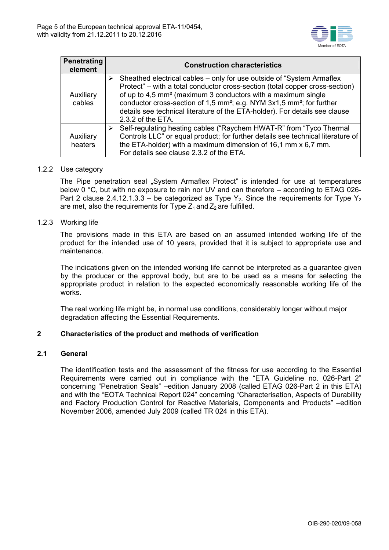

| <b>Penetrating</b><br>element | <b>Construction characteristics</b>                                                                                                                                                                                                                                                                                                                                                                                                            |
|-------------------------------|------------------------------------------------------------------------------------------------------------------------------------------------------------------------------------------------------------------------------------------------------------------------------------------------------------------------------------------------------------------------------------------------------------------------------------------------|
| Auxiliary<br>cables           | Sheathed electrical cables – only for use outside of "System Armaflex"<br>⋗<br>Protect" – with a total conductor cross-section (total copper cross-section)<br>of up to 4,5 mm <sup>2</sup> (maximum 3 conductors with a maximum single<br>conductor cross-section of 1,5 mm <sup>2</sup> ; e.g. NYM 3x1,5 mm <sup>2</sup> ; for further<br>details see technical literature of the ETA-holder). For details see clause<br>$2.3.2$ of the ETA. |
| Auxiliary<br>heaters          | Self-regulating heating cables ("Raychem HWAT-R" from "Tyco Thermal"<br>➤<br>Controls LLC" or equal product; for further details see technical literature of<br>the ETA-holder) with a maximum dimension of 16,1 mm x 6,7 mm.<br>For details see clause 2.3.2 of the ETA.                                                                                                                                                                      |

# 1.2.2 Use category

The Pipe penetration seal "System Armaflex Protect" is intended for use at temperatures below 0 °C, but with no exposure to rain nor UV and can therefore – according to ETAG 026- Part 2 clause 2.4.12.1.3.3 – be categorized as Type Y<sub>2</sub>. Since the requirements for Type Y<sub>2</sub> are met, also the requirements for Type  $Z_1$  and  $Z_2$  are fulfilled.

# 1.2.3 Working life

The provisions made in this ETA are based on an assumed intended working life of the product for the intended use of 10 years, provided that it is subject to appropriate use and maintenance.

The indications given on the intended working life cannot be interpreted as a guarantee given by the producer or the approval body, but are to be used as a means for selecting the appropriate product in relation to the expected economically reasonable working life of the works.

The real working life might be, in normal use conditions, considerably longer without major degradation affecting the Essential Requirements.

# **2 Characteristics of the product and methods of verification**

### **2.1 General**

The identification tests and the assessment of the fitness for use according to the Essential Requirements were carried out in compliance with the "ETA Guideline no. 026-Part 2" concerning "Penetration Seals" –edition January 2008 (called ETAG 026-Part 2 in this ETA) and with the "EOTA Technical Report 024" concerning "Characterisation, Aspects of Durability and Factory Production Control for Reactive Materials, Components and Products" –edition November 2006, amended July 2009 (called TR 024 in this ETA).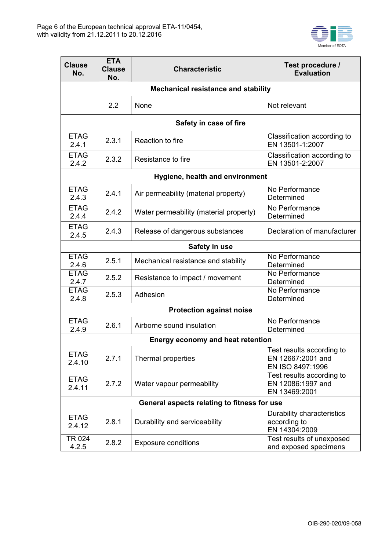

| <b>Clause</b><br>No.                                        | <b>ETA</b><br><b>Clause</b><br>No.         | <b>Characteristic</b>                                           | Test procedure /<br><b>Evaluation</b>                              |  |  |  |
|-------------------------------------------------------------|--------------------------------------------|-----------------------------------------------------------------|--------------------------------------------------------------------|--|--|--|
|                                                             | <b>Mechanical resistance and stability</b> |                                                                 |                                                                    |  |  |  |
|                                                             | 2.2                                        | None                                                            | Not relevant                                                       |  |  |  |
|                                                             |                                            | Safety in case of fire                                          |                                                                    |  |  |  |
| <b>ETAG</b><br>2.4.1                                        | 2.3.1                                      | Reaction to fire                                                | Classification according to<br>EN 13501-1:2007                     |  |  |  |
| <b>ETAG</b><br>2.4.2                                        | 2.3.2                                      | Resistance to fire                                              | Classification according to<br>EN 13501-2:2007                     |  |  |  |
|                                                             |                                            | Hygiene, health and environment                                 |                                                                    |  |  |  |
| <b>ETAG</b><br>2.4.3                                        | 2.4.1                                      | Air permeability (material property)                            | No Performance<br>Determined                                       |  |  |  |
| <b>ETAG</b><br>2.4.4                                        | 2.4.2                                      | Water permeability (material property)                          | No Performance<br>Determined                                       |  |  |  |
| <b>ETAG</b><br>2.4.5                                        | 2.4.3                                      | Release of dangerous substances                                 | Declaration of manufacturer                                        |  |  |  |
|                                                             |                                            | Safety in use                                                   |                                                                    |  |  |  |
| <b>ETAG</b><br>2.4.6                                        | 2.5.1                                      | Mechanical resistance and stability                             | No Performance<br>Determined                                       |  |  |  |
| <b>ETAG</b><br>2.4.7                                        | 2.5.2                                      | Resistance to impact / movement                                 | No Performance<br>Determined                                       |  |  |  |
| <b>ETAG</b><br>2.5.3<br>Adhesion<br>2.4.8                   |                                            | No Performance<br>Determined                                    |                                                                    |  |  |  |
|                                                             |                                            | <b>Protection against noise</b>                                 |                                                                    |  |  |  |
| <b>ETAG</b><br>2.6.1<br>2.4.9                               |                                            | Airborne sound insulation                                       | No Performance<br>Determined                                       |  |  |  |
|                                                             |                                            | Energy economy and heat retention                               |                                                                    |  |  |  |
| <b>ETAG</b><br>2.4.10                                       | 2.7.1                                      | Thermal properties                                              | Test results according to<br>EN 12667:2001 and<br>EN ISO 8497:1996 |  |  |  |
| <b>ETAG</b><br>2.7.2<br>Water vapour permeability<br>2.4.11 |                                            | Test results according to<br>EN 12086:1997 and<br>EN 13469:2001 |                                                                    |  |  |  |
|                                                             |                                            | General aspects relating to fitness for use                     |                                                                    |  |  |  |
| <b>ETAG</b><br>2.4.12                                       | 2.8.1                                      | Durability and serviceability                                   | Durability characteristics<br>according to<br>EN 14304:2009        |  |  |  |
| TR 024<br>4.2.5                                             | 2.8.2                                      | <b>Exposure conditions</b>                                      | Test results of unexposed<br>and exposed specimens                 |  |  |  |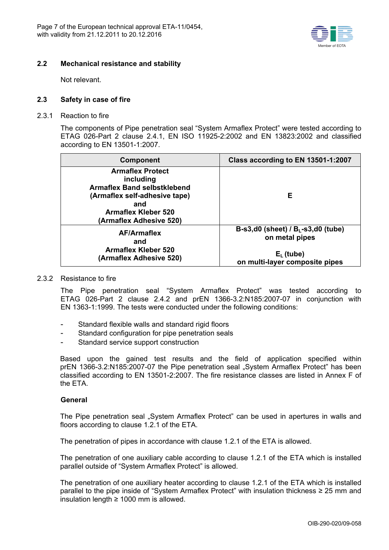

# **2.2 Mechanical resistance and stability**

Not relevant.

### **2.3 Safety in case of fire**

2.3.1 Reaction to fire

The components of Pipe penetration seal "System Armaflex Protect" were tested according to ETAG 026-Part 2 clause 2.4.1, EN ISO 11925-2:2002 and EN 13823:2002 and classified according to EN 13501-1:2007.

| <b>Component</b>                                                                                                                                                            | Class according to EN 13501-1:2007                                                                        |  |  |
|-----------------------------------------------------------------------------------------------------------------------------------------------------------------------------|-----------------------------------------------------------------------------------------------------------|--|--|
| <b>Armaflex Protect</b><br>including<br><b>Armaflex Band selbstklebend</b><br>(Armaflex self-adhesive tape)<br>and<br><b>Armaflex Kleber 520</b><br>(Armaflex Adhesive 520) | Е                                                                                                         |  |  |
| <b>AF/Armaflex</b><br>and<br><b>Armaflex Kleber 520</b><br>(Armaflex Adhesive 520)                                                                                          | $B-s3,d0$ (sheet) / $BL-s3,d0$ (tube)<br>on metal pipes<br>$E_L$ (tube)<br>on multi-layer composite pipes |  |  |

### 2.3.2 Resistance to fire

The Pipe penetration seal "System Armaflex Protect" was tested according to ETAG 026-Part 2 clause 2.4.2 and prEN 1366-3.2:N185:2007-07 in conjunction with EN 1363-1:1999. The tests were conducted under the following conditions:

- Standard flexible walls and standard rigid floors
- Standard configuration for pipe penetration seals
- Standard service support construction

Based upon the gained test results and the field of application specified within prEN 1366-3.2:N185:2007-07 the Pipe penetration seal "System Armaflex Protect" has been classified according to EN 13501-2:2007. The fire resistance classes are listed in Annex F of the ETA.

### **General**

The Pipe penetration seal "System Armaflex Protect" can be used in apertures in walls and floors according to clause 1.2.1 of the ETA.

The penetration of pipes in accordance with clause 1.2.1 of the ETA is allowed.

The penetration of one auxiliary cable according to clause 1.2.1 of the ETA which is installed parallel outside of "System Armaflex Protect" is allowed.

The penetration of one auxiliary heater according to clause 1.2.1 of the ETA which is installed parallel to the pipe inside of "System Armaflex Protect" with insulation thickness ≥ 25 mm and insulation length ≥ 1000 mm is allowed.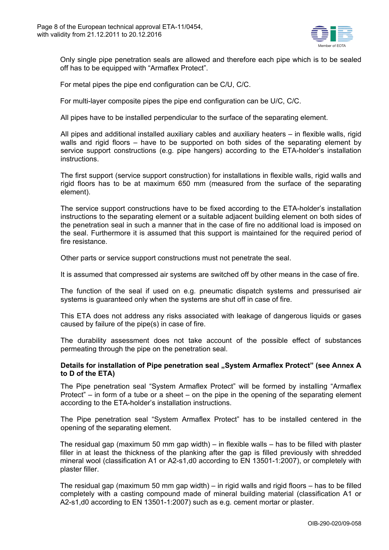

Only single pipe penetration seals are allowed and therefore each pipe which is to be sealed off has to be equipped with "Armaflex Protect".

For metal pipes the pipe end configuration can be C/U, C/C.

For multi-layer composite pipes the pipe end configuration can be U/C, C/C.

All pipes have to be installed perpendicular to the surface of the separating element.

All pipes and additional installed auxiliary cables and auxiliary heaters – in flexible walls, rigid walls and rigid floors – have to be supported on both sides of the separating element by service support constructions (e.g. pipe hangers) according to the ETA-holder's installation instructions.

The first support (service support construction) for installations in flexible walls, rigid walls and rigid floors has to be at maximum 650 mm (measured from the surface of the separating element).

The service support constructions have to be fixed according to the ETA-holder's installation instructions to the separating element or a suitable adjacent building element on both sides of the penetration seal in such a manner that in the case of fire no additional load is imposed on the seal. Furthermore it is assumed that this support is maintained for the required period of fire resistance.

Other parts or service support constructions must not penetrate the seal.

It is assumed that compressed air systems are switched off by other means in the case of fire.

The function of the seal if used on e.g. pneumatic dispatch systems and pressurised air systems is guaranteed only when the systems are shut off in case of fire.

This ETA does not address any risks associated with leakage of dangerous liquids or gases caused by failure of the pipe(s) in case of fire.

The durability assessment does not take account of the possible effect of substances permeating through the pipe on the penetration seal.

### Details for installation of Pipe penetration seal "System Armaflex Protect" (see Annex A **to D of the ETA)**

The Pipe penetration seal "System Armaflex Protect" will be formed by installing "Armaflex Protect" – in form of a tube or a sheet – on the pipe in the opening of the separating element according to the ETA-holder's installation instructions.

The Pipe penetration seal "System Armaflex Protect" has to be installed centered in the opening of the separating element.

The residual gap (maximum 50 mm gap width) – in flexible walls – has to be filled with plaster filler in at least the thickness of the planking after the gap is filled previously with shredded mineral wool (classification A1 or A2-s1,d0 according to EN 13501-1:2007), or completely with plaster filler.

The residual gap (maximum 50 mm gap width) – in rigid walls and rigid floors – has to be filled completely with a casting compound made of mineral building material (classification A1 or A2-s1,d0 according to EN 13501-1:2007) such as e.g. cement mortar or plaster.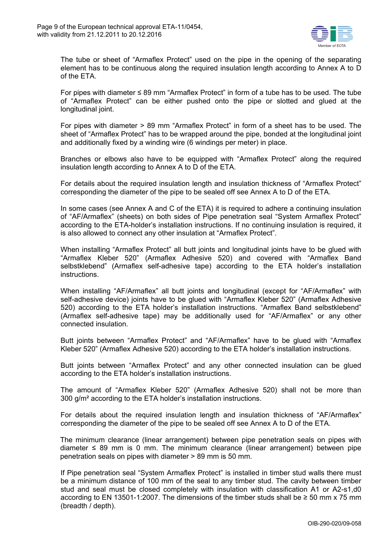

The tube or sheet of "Armaflex Protect" used on the pipe in the opening of the separating element has to be continuous along the required insulation length according to Annex A to D of the ETA.

For pipes with diameter ≤ 89 mm "Armaflex Protect" in form of a tube has to be used. The tube of "Armaflex Protect" can be either pushed onto the pipe or slotted and glued at the longitudinal joint.

For pipes with diameter > 89 mm "Armaflex Protect" in form of a sheet has to be used. The sheet of "Armaflex Protect" has to be wrapped around the pipe, bonded at the longitudinal joint and additionally fixed by a winding wire (6 windings per meter) in place.

Branches or elbows also have to be equipped with "Armaflex Protect" along the required insulation length according to Annex A to D of the ETA.

For details about the required insulation length and insulation thickness of "Armaflex Protect" corresponding the diameter of the pipe to be sealed off see Annex A to D of the ETA.

In some cases (see Annex A and C of the ETA) it is required to adhere a continuing insulation of "AF/Armaflex" (sheets) on both sides of Pipe penetration seal "System Armaflex Protect" according to the ETA-holder's installation instructions. If no continuing insulation is required, it is also allowed to connect any other insulation at "Armaflex Protect".

When installing "Armaflex Protect" all butt joints and longitudinal joints have to be glued with "Armaflex Kleber 520" (Armaflex Adhesive 520) and covered with "Armaflex Band selbstklebend" (Armaflex self-adhesive tape) according to the ETA holder's installation instructions.

When installing "AF/Armaflex" all butt joints and longitudinal (except for "AF/Armaflex" with self-adhesive device) joints have to be glued with "Armaflex Kleber 520" (Armaflex Adhesive 520) according to the ETA holder's installation instructions. "Armaflex Band selbstklebend" (Armaflex self-adhesive tape) may be additionally used for "AF/Armaflex" or any other connected insulation.

Butt joints between "Armaflex Protect" and "AF/Armaflex" have to be glued with "Armaflex Kleber 520" (Armaflex Adhesive 520) according to the ETA holder's installation instructions.

Butt joints between "Armaflex Protect" and any other connected insulation can be glued according to the ETA holder's installation instructions.

The amount of "Armaflex Kleber 520" (Armaflex Adhesive 520) shall not be more than 300 g/m² according to the ETA holder's installation instructions.

For details about the required insulation length and insulation thickness of "AF/Armaflex" corresponding the diameter of the pipe to be sealed off see Annex A to D of the ETA.

The minimum clearance (linear arrangement) between pipe penetration seals on pipes with diameter  $\leq$  89 mm is 0 mm. The minimum clearance (linear arrangement) between pipe penetration seals on pipes with diameter > 89 mm is 50 mm.

If Pipe penetration seal "System Armaflex Protect" is installed in timber stud walls there must be a minimum distance of 100 mm of the seal to any timber stud. The cavity between timber stud and seal must be closed completely with insulation with classification A1 or A2-s1,d0 according to EN 13501-1:2007. The dimensions of the timber studs shall be  $\geq$  50 mm x 75 mm (breadth / depth).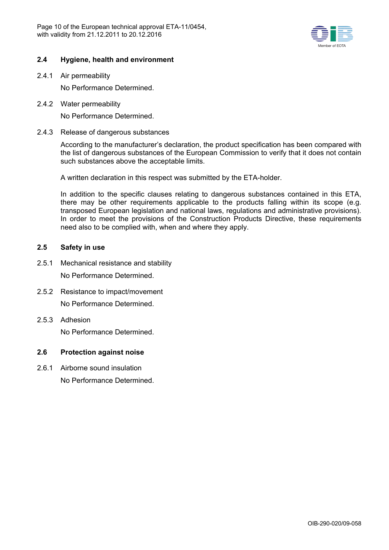

# **2.4 Hygiene, health and environment**

2.4.1 Air permeability

No Performance Determined.

2.4.2 Water permeability

No Performance Determined.

2.4.3 Release of dangerous substances

According to the manufacturer's declaration, the product specification has been compared with the list of dangerous substances of the European Commission to verify that it does not contain such substances above the acceptable limits.

A written declaration in this respect was submitted by the ETA-holder.

In addition to the specific clauses relating to dangerous substances contained in this ETA, there may be other requirements applicable to the products falling within its scope (e.g. transposed European legislation and national laws, regulations and administrative provisions). In order to meet the provisions of the Construction Products Directive, these requirements need also to be complied with, when and where they apply.

# **2.5 Safety in use**

- 2.5.1 Mechanical resistance and stability No Performance Determined.
- 2.5.2 Resistance to impact/movement No Performance Determined.
- 2.5.3 Adhesion No Performance Determined.

### **2.6 Protection against noise**

2.6.1 Airborne sound insulation No Performance Determined.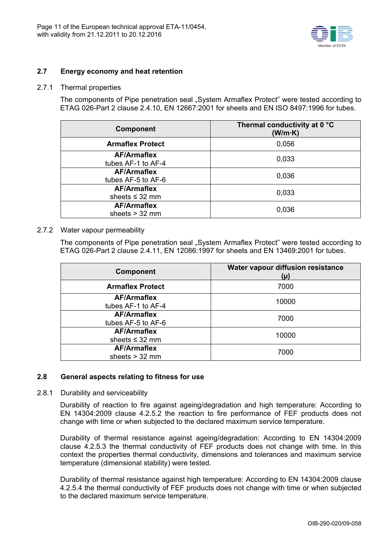

# **2.7 Energy economy and heat retention**

#### 2.7.1 Thermal properties

The components of Pipe penetration seal "System Armaflex Protect" were tested according to ETAG 026-Part 2 clause 2.4.10, EN 12667:2001 for sheets and EN ISO 8497:1996 for tubes.

| <b>Component</b>                          | Thermal conductivity at 0 °C<br>(W/m·K) |  |  |
|-------------------------------------------|-----------------------------------------|--|--|
| <b>Armaflex Protect</b>                   | 0,056                                   |  |  |
| <b>AF/Armaflex</b><br>tubes AF-1 to AF-4  | 0,033                                   |  |  |
| <b>AF/Armaflex</b><br>tubes AF-5 to AF-6  | 0,036                                   |  |  |
| <b>AF/Armaflex</b><br>sheets $\leq$ 32 mm | 0,033                                   |  |  |
| <b>AF/Armaflex</b><br>sheets $> 32$ mm    | 0,036                                   |  |  |

### 2.7.2 Water vapour permeability

The components of Pipe penetration seal "System Armaflex Protect" were tested according to ETAG 026-Part 2 clause 2.4.11, EN 12086:1997 for sheets and EN 13469:2001 for tubes.

| <b>Component</b>                          | Water vapour diffusion resistance<br>$(\mu)$ |  |  |
|-------------------------------------------|----------------------------------------------|--|--|
| <b>Armaflex Protect</b>                   | 7000                                         |  |  |
| <b>AF/Armaflex</b><br>tubes AF-1 to AF-4  | 10000                                        |  |  |
| <b>AF/Armaflex</b><br>tubes AF-5 to AF-6  | 7000                                         |  |  |
| <b>AF/Armaflex</b><br>sheets $\leq$ 32 mm | 10000                                        |  |  |
| <b>AF/Armaflex</b><br>sheets $>$ 32 mm    | 7000                                         |  |  |

# **2.8 General aspects relating to fitness for use**

### 2.8.1 Durability and serviceability

Durability of reaction to fire against ageing/degradation and high temperature: According to EN 14304:2009 clause 4.2.5.2 the reaction to fire performance of FEF products does not change with time or when subjected to the declared maximum service temperature.

Durability of thermal resistance against ageing/degradation: According to EN 14304:2009 clause 4.2.5.3 the thermal conductivity of FEF products does not change with time. In this context the properties thermal conductivity, dimensions and tolerances and maximum service temperature (dimensional stability) were tested.

Durability of thermal resistance against high temperature: According to EN 14304:2009 clause 4.2.5.4 the thermal conductivity of FEF products does not change with time or when subjected to the declared maximum service temperature.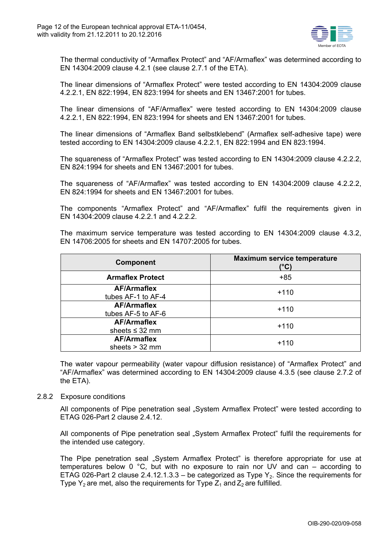

The thermal conductivity of "Armaflex Protect" and "AF/Armaflex" was determined according to EN 14304:2009 clause 4.2.1 (see clause 2.7.1 of the ETA).

The linear dimensions of "Armaflex Protect" were tested according to EN 14304:2009 clause 4.2.2.1, EN 822:1994, EN 823:1994 for sheets and EN 13467:2001 for tubes.

The linear dimensions of "AF/Armaflex" were tested according to EN 14304:2009 clause 4.2.2.1, EN 822:1994, EN 823:1994 for sheets and EN 13467:2001 for tubes.

The linear dimensions of "Armaflex Band selbstklebend" (Armaflex self-adhesive tape) were tested according to EN 14304:2009 clause 4.2.2.1, EN 822:1994 and EN 823:1994.

The squareness of "Armaflex Protect" was tested according to EN 14304:2009 clause 4.2.2.2, EN 824:1994 for sheets and EN 13467:2001 for tubes.

The squareness of "AF/Armaflex" was tested according to EN 14304:2009 clause 4.2.2.2, EN 824:1994 for sheets and EN 13467:2001 for tubes.

The components "Armaflex Protect" and "AF/Armaflex" fulfil the requirements given in EN 14304:2009 clause 4.2.2.1 and 4.2.2.2.

The maximum service temperature was tested according to EN 14304:2009 clause 4.3.2, EN 14706:2005 for sheets and EN 14707:2005 for tubes.

| <b>Component</b>                          | <b>Maximum service temperature</b><br>(°C) |  |  |
|-------------------------------------------|--------------------------------------------|--|--|
| <b>Armaflex Protect</b>                   | $+85$                                      |  |  |
| <b>AF/Armaflex</b><br>tubes AF-1 to AF-4  | $+110$                                     |  |  |
| <b>AF/Armaflex</b><br>tubes AF-5 to AF-6  | $+110$                                     |  |  |
| <b>AF/Armaflex</b><br>sheets $\leq$ 32 mm | $+110$                                     |  |  |
| <b>AF/Armaflex</b><br>sheets $>$ 32 mm    | $+110$                                     |  |  |

The water vapour permeability (water vapour diffusion resistance) of "Armaflex Protect" and "AF/Armaflex" was determined according to EN 14304:2009 clause 4.3.5 (see clause 2.7.2 of the ETA).

### 2.8.2 Exposure conditions

All components of Pipe penetration seal "System Armaflex Protect" were tested according to ETAG 026-Part 2 clause 2.4.12.

All components of Pipe penetration seal "System Armaflex Protect" fulfil the requirements for the intended use category.

The Pipe penetration seal "System Armaflex Protect" is therefore appropriate for use at temperatures below 0 °C, but with no exposure to rain nor UV and can – according to ETAG 026-Part 2 clause 2.4.12.1.3.3 – be categorized as Type  $Y_2$ . Since the requirements for Type  $Y_2$  are met, also the requirements for Type  $Z_1$  and  $Z_2$  are fulfilled.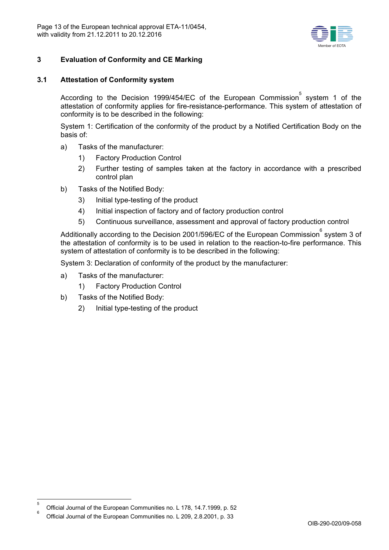

# **3 Evaluation of Conformity and CE Marking**

# **3.1 Attestation of Conformity system**

According to the Decision 1999/454/EC of the European Commission  $\tilde{s}$  system 1 of the attestation of conformity applies for fire-resistance-performance. This system of attestation of conformity is to be described in the following:

System 1: Certification of the conformity of the product by a Notified Certification Body on the basis of:

- a) Tasks of the manufacturer:
	- 1) Factory Production Control
	- 2) Further testing of samples taken at the factory in accordance with a prescribed control plan
- b) Tasks of the Notified Body:
	- 3) Initial type-testing of the product
	- 4) Initial inspection of factory and of factory production control
	- 5) Continuous surveillance, assessment and approval of factory production control

Additionally according to the Decision 2001/596/EC of the European Commission $\mathring{\text{\rm{^{\circ}}}$  system 3 of the attestation of conformity is to be used in relation to the reaction-to-fire performance. This system of attestation of conformity is to be described in the following:

System 3: Declaration of conformity of the product by the manufacturer:

- a) Tasks of the manufacturer:
	- 1) Factory Production Control
- b) Tasks of the Notified Body:
	- 2) Initial type-testing of the product

<sup>—&</sup>lt;br>5  $\frac{1}{6}$  Official Journal of the European Communities no. L 178, 14.7.1999, p. 52

Official Journal of the European Communities no. L 209, 2.8.2001, p. 33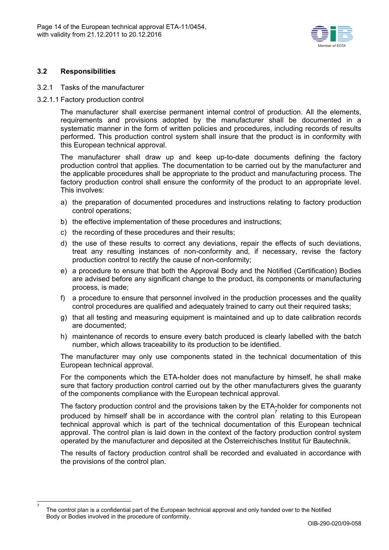

# **3.2 Responsibilities**

 7

### 3.2.1 Tasks of the manufacturer

3.2.1.1 Factory production control

The manufacturer shall exercise permanent internal control of production. All the elements, requirements and provisions adopted by the manufacturer shall be documented in a systematic manner in the form of written policies and procedures, including records of results performed. This production control system shall insure that the product is in conformity with this European technical approval.

The manufacturer shall draw up and keep up-to-date documents defining the factory production control that applies. The documentation to be carried out by the manufacturer and the applicable procedures shall be appropriate to the product and manufacturing process. The factory production control shall ensure the conformity of the product to an appropriate level. This involves:

- a) the preparation of documented procedures and instructions relating to factory production control operations;
- b) the effective implementation of these procedures and instructions;
- c) the recording of these procedures and their results;
- d) the use of these results to correct any deviations, repair the effects of such deviations, treat any resulting instances of non-conformity and, if necessary, revise the factory production control to rectify the cause of non-conformity;
- e) a procedure to ensure that both the Approval Body and the Notified (Certification) Bodies are advised before any significant change to the product, its components or manufacturing process, is made;
- f) a procedure to ensure that personnel involved in the production processes and the quality control procedures are qualified and adequately trained to carry out their required tasks;
- g) that all testing and measuring equipment is maintained and up to date calibration records are documented;
- h) maintenance of records to ensure every batch produced is clearly labelled with the batch number, which allows traceability to its production to be identified.

The manufacturer may only use components stated in the technical documentation of this European technical approval.

For the components which the ETA-holder does not manufacture by himself, he shall make sure that factory production control carried out by the other manufacturers gives the guaranty of the components compliance with the European technical approval.

The factory production control and the provisions taken by the ETA-holder for components not produced by himself shall be in accordance with the control plan<sup>7</sup> relating to this European technical approval which is part of the technical documentation of this European technical approval. The control plan is laid down in the context of the factory production control system operated by the manufacturer and deposited at the Österreichisches Institut für Bautechnik.

The results of factory production control shall be recorded and evaluated in accordance with the provisions of the control plan.

The control plan is a confidential part of the European technical approval and only handed over to the Notified Body or Bodies involved in the procedure of conformity.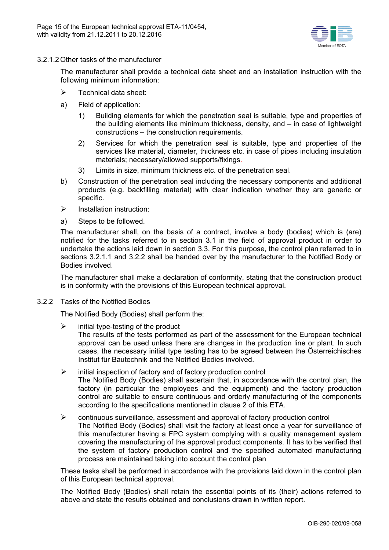

3.2.1.2 Other tasks of the manufacturer

The manufacturer shall provide a technical data sheet and an installation instruction with the following minimum information:

- $\triangleright$  Technical data sheet:
- a) Field of application:
	- 1) Building elements for which the penetration seal is suitable, type and properties of the building elements like minimum thickness, density, and – in case of lightweight constructions – the construction requirements.
	- 2) Services for which the penetration seal is suitable, type and properties of the services like material, diameter, thickness etc. in case of pipes including insulation materials; necessary/allowed supports/fixings.
	- 3) Limits in size, minimum thickness etc. of the penetration seal.
- b) Construction of the penetration seal including the necessary components and additional products (e.g. backfilling material) with clear indication whether they are generic or specific.
- $\triangleright$  Installation instruction:
- a) Steps to be followed.

The manufacturer shall, on the basis of a contract, involve a body (bodies) which is (are) notified for the tasks referred to in section 3.1 in the field of approval product in order to undertake the actions laid down in section 3.3. For this purpose, the control plan referred to in sections 3.2.1.1 and 3.2.2 shall be handed over by the manufacturer to the Notified Body or Bodies involved.

The manufacturer shall make a declaration of conformity, stating that the construction product is in conformity with the provisions of this European technical approval.

3.2.2 Tasks of the Notified Bodies

The Notified Body (Bodies) shall perform the:

 $\triangleright$  initial type-testing of the product

The results of the tests performed as part of the assessment for the European technical approval can be used unless there are changes in the production line or plant. In such cases, the necessary initial type testing has to be agreed between the Österreichisches Institut für Bautechnik and the Notified Bodies involved.

- $\triangleright$  initial inspection of factory and of factory production control The Notified Body (Bodies) shall ascertain that, in accordance with the control plan, the factory (in particular the employees and the equipment) and the factory production control are suitable to ensure continuous and orderly manufacturing of the components according to the specifications mentioned in clause 2 of this ETA.
- $\triangleright$  continuous surveillance, assessment and approval of factory production control The Notified Body (Bodies) shall visit the factory at least once a year for surveillance of this manufacturer having a FPC system complying with a quality management system covering the manufacturing of the approval product components. It has to be verified that the system of factory production control and the specified automated manufacturing process are maintained taking into account the control plan

These tasks shall be performed in accordance with the provisions laid down in the control plan of this European technical approval.

The Notified Body (Bodies) shall retain the essential points of its (their) actions referred to above and state the results obtained and conclusions drawn in written report.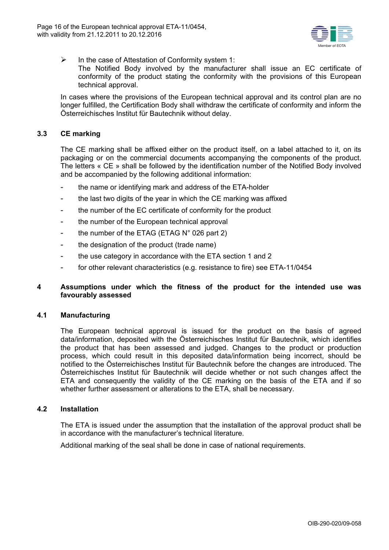

- $\triangleright$  In the case of Attestation of Conformity system 1:
	- The Notified Body involved by the manufacturer shall issue an EC certificate of conformity of the product stating the conformity with the provisions of this European technical approval.

In cases where the provisions of the European technical approval and its control plan are no longer fulfilled, the Certification Body shall withdraw the certificate of conformity and inform the Österreichisches Institut für Bautechnik without delay.

# **3.3 CE marking**

The CE marking shall be affixed either on the product itself, on a label attached to it, on its packaging or on the commercial documents accompanying the components of the product. The letters « CE » shall be followed by the identification number of the Notified Body involved and be accompanied by the following additional information:

- the name or identifying mark and address of the ETA-holder
- the last two digits of the year in which the CE marking was affixed
- the number of the EC certificate of conformity for the product
- the number of the European technical approval
- the number of the ETAG (ETAG N° 026 part 2)
- the designation of the product (trade name)
- the use category in accordance with the ETA section 1 and 2
- for other relevant characteristics (e.g. resistance to fire) see ETA-11/0454

# **4 Assumptions under which the fitness of the product for the intended use was favourably assessed**

### **4.1 Manufacturing**

The European technical approval is issued for the product on the basis of agreed data/information, deposited with the Österreichisches Institut für Bautechnik, which identifies the product that has been assessed and judged. Changes to the product or production process, which could result in this deposited data/information being incorrect, should be notified to the Österreichisches Institut für Bautechnik before the changes are introduced. The Österreichisches Institut für Bautechnik will decide whether or not such changes affect the ETA and consequently the validity of the CE marking on the basis of the ETA and if so whether further assessment or alterations to the ETA, shall be necessary.

### **4.2 Installation**

The ETA is issued under the assumption that the installation of the approval product shall be in accordance with the manufacturer's technical literature.

Additional marking of the seal shall be done in case of national requirements.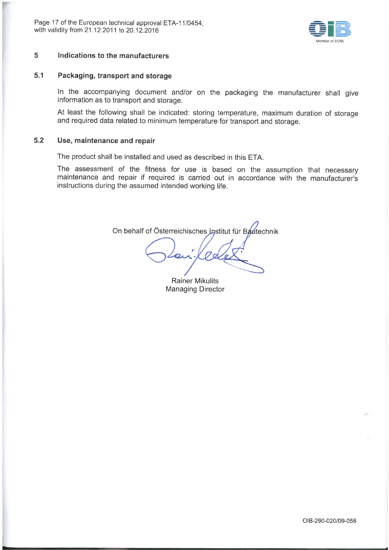

#### 5 Indications to the manufacturers

#### $5.1$ Packaging, transport and storage

In the accompanying document and/or on the packaging the manufacturer shall give information as to transport and storage.

At least the following shall be indicated: storing temperature, maximum duration of storage and required data related to minimum temperature for transport and storage.

#### $5.2$ Use, maintenance and repair

The product shall be installed and used as described in this ETA.

The assessment of the fitness for use is based on the assumption that necessary maintenance and repair if required is carried out in accordance with the manufacturer's instructions during the assumed intended working life.

On behalf of Österreichisches Institut für Bautechnik

**Rainer Mikulits Managing Director**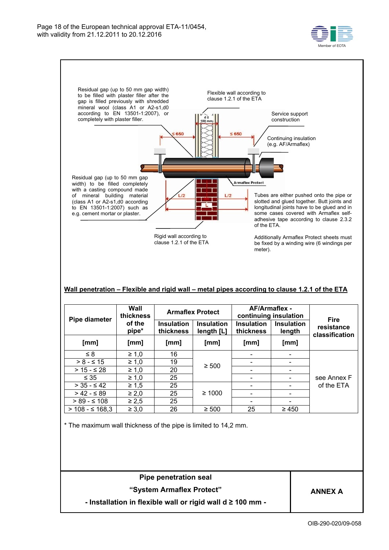



### **Wall penetration – Flexible and rigid wall – metal pipes according to clause 1.2.1 of the ETA**

| Pipe diameter      | Wall<br>thickness | <b>Armaflex Protect</b>        |                                 | AF/Armaflex -<br>continuing insulation |                             | <b>Fire</b>                  |
|--------------------|-------------------|--------------------------------|---------------------------------|----------------------------------------|-----------------------------|------------------------------|
|                    | of the<br>pipe*   | <b>Insulation</b><br>thickness | <b>Insulation</b><br>length [L] | <b>Insulation</b><br>thickness         | <b>Insulation</b><br>length | resistance<br>classification |
| [mm]               | [mm]              | [mm]                           | [mm]                            | [mm]                                   | [mm]                        |                              |
| $\leq 8$           | $\geq 1,0$        | 16                             |                                 |                                        |                             |                              |
| $> 8 - 5 15$       | $\geq 1,0$        | 19                             | $\geq 500$                      |                                        |                             |                              |
| $> 15 - 528$       | $\geq 1,0$        | 20                             |                                 |                                        |                             |                              |
| $\leq 35$          | $\geq 1,0$        | 25                             |                                 |                                        |                             | see Annex F                  |
| $>$ 35 - $\leq$ 42 | $\geq 1.5$        | 25                             |                                 |                                        |                             | of the ETA                   |
| $> 42 - 589$       | $\geq 2,0$        | 25                             | $\geq 1000$                     |                                        |                             |                              |
| $> 89 - 5108$      | $\geq 2.5$        | 25                             |                                 |                                        |                             |                              |
| $> 108 - ≤ 168.3$  | $\geq 3.0$        | 26                             | $\geq 500$                      | 25                                     | $\geq 450$                  |                              |

\* The maximum wall thickness of the pipe is limited to 14,2 mm.

**Pipe penetration seal "System Armaflex Protect"** 

**ANNEX A** 

**- Installation in flexible wall or rigid wall d ≥ 100 mm -**

OIB-290-020/09-058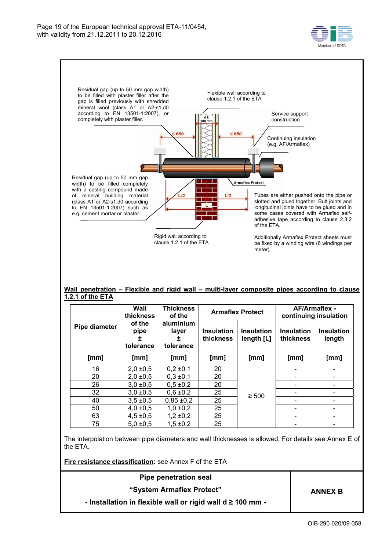



#### **Wall penetration – Flexible and rigid wall – multi-layer composite pipes according to clause 1.2.1 of the ETA**

|               | Wall<br>thickness                 | <b>Thickness</b><br>of the           |                                | <b>Armaflex Protect</b>         | <b>AF/Armaflex -</b><br>continuing insulation |                             |
|---------------|-----------------------------------|--------------------------------------|--------------------------------|---------------------------------|-----------------------------------------------|-----------------------------|
| Pipe diameter | of the<br>pipe<br>±.<br>tolerance | aluminium<br>layer<br>I<br>tolerance | <b>Insulation</b><br>thickness | <b>Insulation</b><br>length [L] | <b>Insulation</b><br>thickness                | <b>Insulation</b><br>length |
| [mm]          | [mm]                              | [mm]                                 | [mm]                           | [mm]                            | [mm]                                          | [mm]                        |
| 16            | $2.0 \pm 0.5$                     | $0,2 \pm 0,1$                        | 20                             |                                 |                                               |                             |
| 20            | 2,0,0,5                           | $0,3 \pm 0,1$                        | 20                             |                                 |                                               |                             |
| 26            | $3.0 \pm 0.5$                     | $0,5 \pm 0.2$                        | 20                             |                                 |                                               |                             |
| 32            | $3.0 \pm 0.5$                     | $0,6 \pm 0,2$                        | 25                             | $\geq 500$                      |                                               |                             |
| 40            | $3,5 + 0,5$                       | $0,85 \pm 0,2$                       | 25                             |                                 |                                               |                             |
| 50            | $4.0 \pm 0.5$                     | 1,0,0,2                              | 25                             |                                 |                                               |                             |
| 63            | $4,5 \pm 0.5$                     | $1,2 \pm 0,2$                        | 25                             |                                 |                                               |                             |
| 75            | $5.0 \pm 0.5$                     | $1.5 \pm 0.2$                        | 25                             |                                 |                                               |                             |

The interpolation between pipe diameters and wall thicknesses is allowed. For details see Annex E of the ETA.

**Fire resistance classification:** see Annex F of the ETA

| Pipe penetration seal                                           |                |
|-----------------------------------------------------------------|----------------|
| "System Armaflex Protect"                                       | <b>ANNEX B</b> |
| - Installation in flexible wall or rigid wall d $\geq$ 100 mm - |                |
|                                                                 |                |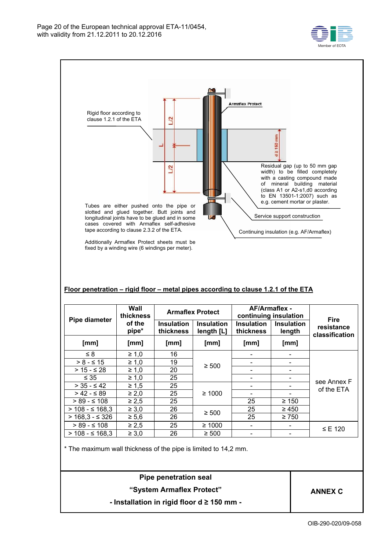

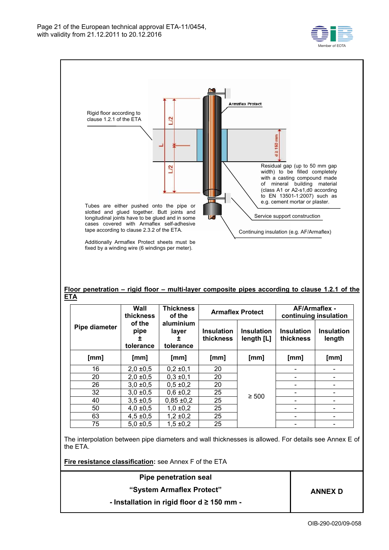



The interpolation between pipe diameters and wall thicknesses is allowed. For details see Annex E of the ETA.

50 4,0 ±0,5 1,0 ±0,2 25 - - 63 4,5 ±0,5 1,2 ±0,2 25 - -

**Fire resistance classification:** see Annex F of the ETA

75 | 5,0 ±0,5 | 1,5 ±0,2 | 25

| Pipe penetration seal                          |                |  |  |  |  |
|------------------------------------------------|----------------|--|--|--|--|
| "System Armaflex Protect"                      | <b>ANNEX D</b> |  |  |  |  |
| - Installation in rigid floor $d \ge 150$ mm - |                |  |  |  |  |
|                                                |                |  |  |  |  |

- -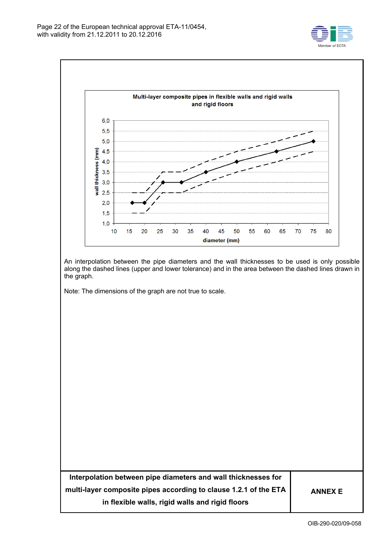



An interpolation between the pipe diameters and the wall thicknesses to be used is only possible along the dashed lines (upper and lower tolerance) and in the area between the dashed lines drawn in the graph.

Note: The dimensions of the graph are not true to scale.

| Interpolation between pipe diameters and wall thicknesses for    |                |
|------------------------------------------------------------------|----------------|
| multi-layer composite pipes according to clause 1.2.1 of the ETA | <b>ANNEX E</b> |
| in flexible walls, rigid walls and rigid floors                  |                |
|                                                                  |                |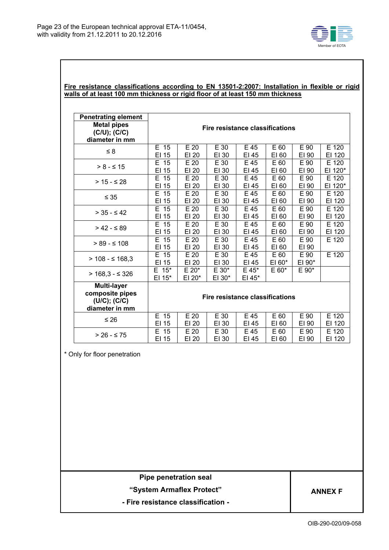

# **Fire resistance classifications according to EN 13501-2:2007: Installation in flexible or rigid walls of at least 100 mm thickness or rigid floor of at least 150 mm thickness**

| <b>Penetrating element</b><br><b>Metal pipes</b><br>$(C/U)$ ; $(C/C)$<br>diameter in mm         | <b>Fire resistance classifications</b> |                   |                 |                   |                  |                |         |  |  |
|-------------------------------------------------------------------------------------------------|----------------------------------------|-------------------|-----------------|-------------------|------------------|----------------|---------|--|--|
| $\leq 8$                                                                                        | E 15                                   | E 20              | E 30            | E 45              | E 60             | $E$ 90         | E 120   |  |  |
|                                                                                                 | EI 15                                  | EI 20             | EI 30           | EI 45             | EI 60            | EI 90          | EI 120  |  |  |
| $> 8 - 5 15$                                                                                    | E 15                                   | E 20              | E 30            | E 45              | E 60             | E 90           | E 120   |  |  |
|                                                                                                 | EI 15                                  | EI 20             | EI 30           | EI 45             | EI 60            | EI 90          | EI 120* |  |  |
| $> 15 - 528$                                                                                    | E 15                                   | $\overline{E}$ 20 | E 30            | E 45              | E 60             | E 90           | E 120   |  |  |
|                                                                                                 | EI 15                                  | EI 20             | EI 30           | EI 45             | EI 60            | EI 90          | EI 120* |  |  |
| $\leq 35$                                                                                       | E 15                                   | E 20              | E 30            | E 45              | E 60             | E 90           | E 120   |  |  |
|                                                                                                 | EI 15                                  | EI 20             | EI 30           | EI 45             | EI 60            | EI 90          | EI 120  |  |  |
| $> 35 - 542$                                                                                    | E 15                                   | $\overline{E}$ 20 | E 30            | E 45              | E 60             | E 90           | E 120   |  |  |
|                                                                                                 | EI 15                                  | EI 20             | EI 30           | EI 45             | EI 60            | EI 90          | EI 120  |  |  |
| $> 42 - 589$                                                                                    | E 15                                   | E 20              | E 30            | E 45              | E 60             | E 90           | E 120   |  |  |
|                                                                                                 | EI 15                                  | EI 20             | EI 30           | EI 45             | EI 60            | EI 90          | EI 120  |  |  |
| $> 89 - 5108$                                                                                   | E 15<br>EI 15                          | E 20<br>EI 20     | E 30<br>EI 30   | E 45<br>EI 45     | E 60<br>EI 60    | E 90<br>EI 90  | E 120   |  |  |
| $> 108 - 5168,3$                                                                                | E 15<br>EI 15                          | E 20<br>EI 20     | E 30<br>EI 30   | E 45<br>EI 45     | E 60<br>$EI 60*$ | E 90<br>EI 90* | E 120   |  |  |
| $> 168.3 - 5326$                                                                                | $E$ 15*<br>EI 15*                      | E 20*<br>EI 20*   | E 30*<br>EI 30* | $E$ 45*<br>EI 45* | $E 60*$          | $E 90*$        |         |  |  |
| Multi-layer<br>composite pipes<br>$(U/C)$ ; $(C/C)$<br>diameter in mm                           | <b>Fire resistance classifications</b> |                   |                 |                   |                  |                |         |  |  |
| $\leq 26$                                                                                       | E 15                                   | E 20              | E 30            | E 45              | E 60             | E 90           | E 120   |  |  |
|                                                                                                 | EI 15                                  | EI 20             | EI 30           | EI 45             | EI 60            | EI 90          | EI 120  |  |  |
| $> 26 - 575$                                                                                    | E 15                                   | E 20              | E 30            | E 45              | E 60             | E 90           | E 120   |  |  |
|                                                                                                 | EI 15                                  | EI 20             | EI 30           | EI 45             | EI 60            | EI 90          | EI 120  |  |  |
| * Only for floor penetration                                                                    |                                        |                   |                 |                   |                  |                |         |  |  |
| <b>Pipe penetration seal</b><br>"System Armaflex Protect"<br>- Fire resistance classification - |                                        |                   |                 |                   |                  | ANNEX F        |         |  |  |